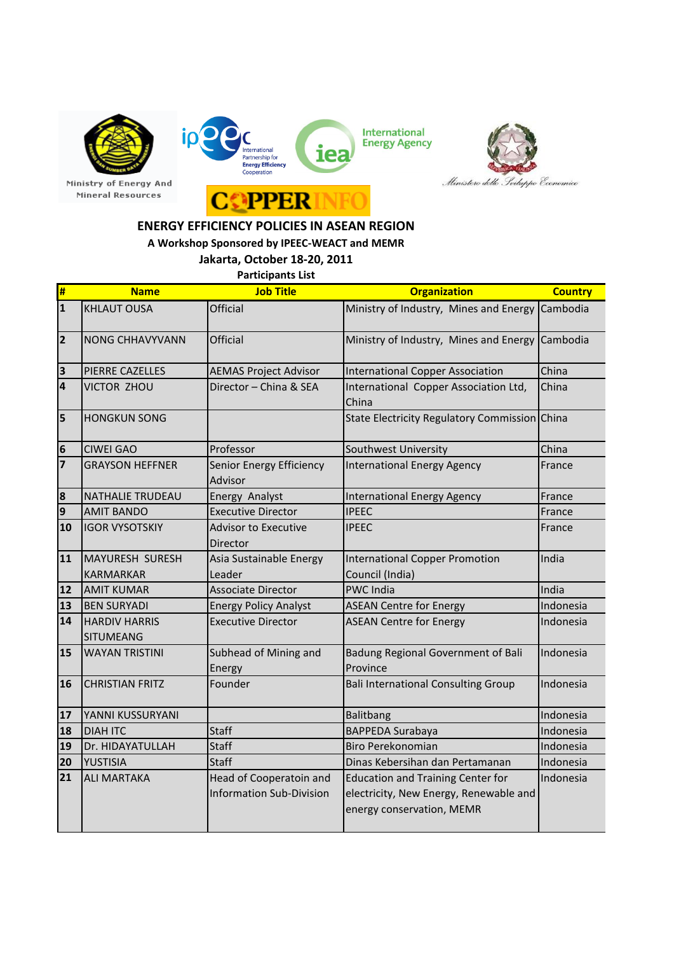



**COPPER** 

## **ENERGY EFFICIENCY POLICIES IN ASEAN REGION**

## **A Workshop Sponsored by IPEEC-WEACT and MEMR**

**Jakarta, October 18-20, 2011**

**Participants List**

| #                       | <b>Name</b>                              | <b>Job Title</b>                                           | <b>Organization</b>                                                                                             | <b>Country</b> |
|-------------------------|------------------------------------------|------------------------------------------------------------|-----------------------------------------------------------------------------------------------------------------|----------------|
| $\overline{\mathbf{1}}$ | <b>KHLAUT OUSA</b>                       | Official                                                   | Ministry of Industry, Mines and Energy                                                                          | Cambodia       |
| $\overline{2}$          | <b>NONG CHHAVYVANN</b>                   | <b>Official</b>                                            | Ministry of Industry, Mines and Energy                                                                          | Cambodia       |
| $\overline{\mathbf{3}}$ | PIERRE CAZELLES                          | <b>AEMAS Project Advisor</b>                               | <b>International Copper Association</b>                                                                         | China          |
| $\overline{\mathbf{4}}$ | <b>VICTOR ZHOU</b>                       | Director - China & SEA                                     | International Copper Association Ltd,<br>China                                                                  | China          |
| 5                       | <b>HONGKUN SONG</b>                      |                                                            | State Electricity Regulatory Commission China                                                                   |                |
| $6\phantom{1}6$         | <b>CIWEI GAO</b>                         | Professor                                                  | Southwest University                                                                                            | China          |
| $\overline{7}$          | <b>GRAYSON HEFFNER</b>                   | Senior Energy Efficiency<br>Advisor                        | International Energy Agency                                                                                     | France         |
| 8                       | <b>NATHALIE TRUDEAU</b>                  | Energy Analyst                                             | International Energy Agency                                                                                     | France         |
| 9                       | <b>AMIT BANDO</b>                        | <b>Executive Director</b>                                  | <b>IPEEC</b>                                                                                                    | France         |
| 10                      | <b>IGOR VYSOTSKIY</b>                    | Advisor to Executive<br>Director                           | <b>IPEEC</b>                                                                                                    | France         |
| 11                      | <b>MAYURESH SURESH</b>                   | Asia Sustainable Energy                                    | <b>International Copper Promotion</b>                                                                           | India          |
|                         | <b>KARMARKAR</b>                         | Leader                                                     | Council (India)                                                                                                 |                |
| 12                      | <b>AMIT KUMAR</b>                        | <b>Associate Director</b>                                  | <b>PWC India</b>                                                                                                | India          |
| 13                      | <b>BEN SURYADI</b>                       | <b>Energy Policy Analyst</b>                               | <b>ASEAN Centre for Energy</b>                                                                                  | Indonesia      |
| 14                      | <b>HARDIV HARRIS</b><br><b>SITUMEANG</b> | <b>Executive Director</b>                                  | <b>ASEAN Centre for Energy</b>                                                                                  | Indonesia      |
| 15                      | <b>WAYAN TRISTINI</b>                    | Subhead of Mining and<br>Energy                            | Badung Regional Government of Bali<br>Province                                                                  | Indonesia      |
| 16                      | <b>CHRISTIAN FRITZ</b>                   | Founder                                                    | <b>Bali International Consulting Group</b>                                                                      | Indonesia      |
| 17                      | YANNI KUSSURYANI                         |                                                            | Balitbang                                                                                                       | Indonesia      |
| 18                      | <b>DIAH ITC</b>                          | <b>Staff</b>                                               | <b>BAPPEDA Surabaya</b>                                                                                         | Indonesia      |
| 19                      | Dr. HIDAYATULLAH                         | <b>Staff</b>                                               | <b>Biro Perekonomian</b>                                                                                        | Indonesia      |
| 20                      | YUSTISIA                                 | <b>Staff</b>                                               | Dinas Kebersihan dan Pertamanan                                                                                 | Indonesia      |
| 21                      | <b>ALI MARTAKA</b>                       | Head of Cooperatoin and<br><b>Information Sub-Division</b> | <b>Education and Training Center for</b><br>electricity, New Energy, Renewable and<br>energy conservation, MEMR | Indonesia      |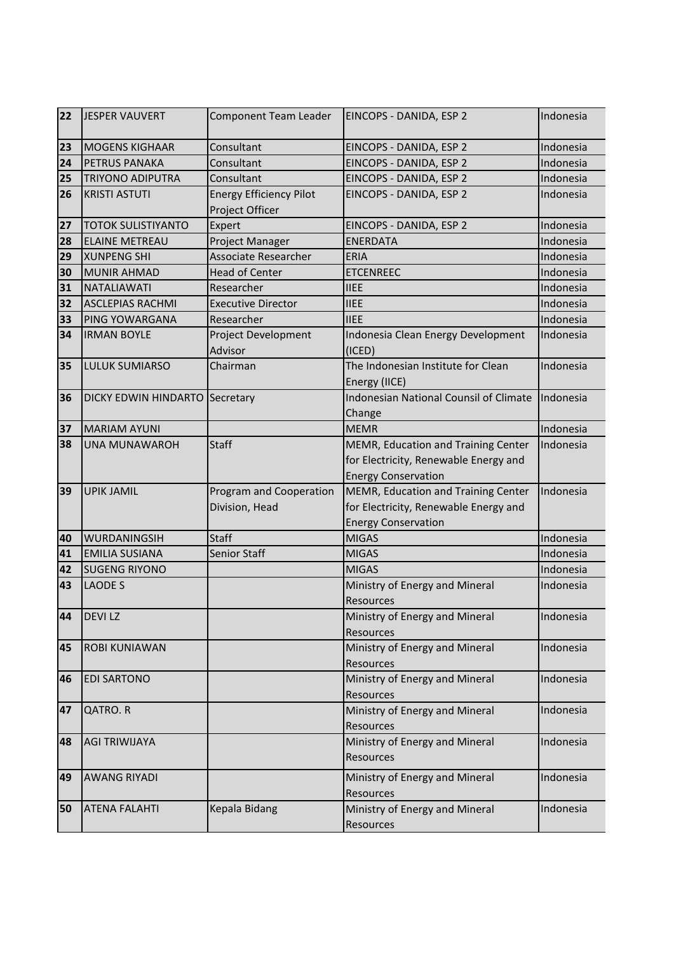| 22       | <b>JESPER VAUVERT</b>                 | <b>Component Team Leader</b>   | EINCOPS - DANIDA, ESP 2                     | Indonesia |
|----------|---------------------------------------|--------------------------------|---------------------------------------------|-----------|
| 23       | <b>MOGENS KIGHAAR</b>                 | Consultant                     | EINCOPS - DANIDA, ESP 2                     | Indonesia |
| 24       | <b>PETRUS PANAKA</b>                  | Consultant                     | EINCOPS - DANIDA, ESP 2                     | Indonesia |
| 25       | <b>TRIYONO ADIPUTRA</b>               | Consultant                     | EINCOPS - DANIDA, ESP 2                     | Indonesia |
| 26       | <b>KRISTI ASTUTI</b>                  | <b>Energy Efficiency Pilot</b> | EINCOPS - DANIDA, ESP 2                     | Indonesia |
|          |                                       | Project Officer                |                                             |           |
| 27       | <b>TOTOK SULISTIYANTO</b>             | Expert                         | EINCOPS - DANIDA, ESP 2                     | Indonesia |
| 28       | <b>ELAINE METREAU</b>                 | Project Manager                | <b>ENERDATA</b>                             | Indonesia |
| 29       | <b>XUNPENG SHI</b>                    | Associate Researcher           | <b>ERIA</b>                                 | Indonesia |
| 30       | <b>MUNIR AHMAD</b>                    | <b>Head of Center</b>          | <b>ETCENREEC</b>                            | Indonesia |
| 31       | <b>NATALIAWATI</b>                    | Researcher                     | <b>IIEE</b>                                 | Indonesia |
| 32       | <b>ASCLEPIAS RACHMI</b>               | <b>Executive Director</b>      | <b>IIEE</b>                                 | Indonesia |
| 33       | PING YOWARGANA                        | Researcher                     | <b>IIEE</b>                                 | Indonesia |
| 34       | <b>IRMAN BOYLE</b>                    | Project Development            | Indonesia Clean Energy Development          | Indonesia |
|          |                                       | Advisor                        | (ICED)                                      |           |
| 35       | <b>LULUK SUMIARSO</b>                 | Chairman                       | The Indonesian Institute for Clean          | Indonesia |
|          |                                       |                                | Energy (IICE)                               |           |
| 36       | <b>DICKY EDWIN HINDARTO</b>           | Secretary                      | Indonesian National Counsil of Climate      | Indonesia |
|          |                                       |                                | Change<br><b>MEMR</b>                       | Indonesia |
| 37       | <b>MARIAM AYUNI</b>                   |                                |                                             |           |
| 38       | <b>UNA MUNAWAROH</b>                  | <b>Staff</b>                   | MEMR, Education and Training Center         | Indonesia |
|          |                                       |                                | for Electricity, Renewable Energy and       |           |
|          |                                       |                                | <b>Energy Conservation</b>                  |           |
| 39       | <b>UPIK JAMIL</b>                     | Program and Cooperation        | MEMR, Education and Training Center         | Indonesia |
|          |                                       | Division, Head                 | for Electricity, Renewable Energy and       |           |
|          |                                       | <b>Staff</b>                   | <b>Energy Conservation</b>                  | Indonesia |
| 40       | WURDANINGSIH<br><b>EMILIA SUSIANA</b> | <b>Senior Staff</b>            | <b>MIGAS</b>                                | Indonesia |
| 41       | <b>SUGENG RIYONO</b>                  |                                | <b>MIGAS</b><br><b>MIGAS</b>                | Indonesia |
| 42<br>43 | <b>LAODE S</b>                        |                                |                                             | Indonesia |
|          |                                       |                                | Ministry of Energy and Mineral              |           |
|          | <b>DEVILZ</b>                         |                                | Resources                                   |           |
| 44       |                                       |                                | Ministry of Energy and Mineral              | Indonesia |
|          | <b>ROBI KUNIAWAN</b>                  |                                | Resources                                   | Indonesia |
| 45       |                                       |                                | Ministry of Energy and Mineral              |           |
|          |                                       |                                | Resources                                   |           |
| 46       | <b>EDI SARTONO</b>                    |                                | Ministry of Energy and Mineral              | Indonesia |
|          |                                       |                                | Resources                                   |           |
| 47       | <b>QATRO.R</b>                        |                                | Ministry of Energy and Mineral              | Indonesia |
| 48       | <b>AGI TRIWIJAYA</b>                  |                                | Resources<br>Ministry of Energy and Mineral | Indonesia |
|          |                                       |                                |                                             |           |
|          |                                       |                                | Resources                                   |           |
| 49       | <b>AWANG RIYADI</b>                   |                                | Ministry of Energy and Mineral              | Indonesia |
|          |                                       |                                | Resources                                   |           |
| 50       | <b>ATENA FALAHTI</b>                  | Kepala Bidang                  | Ministry of Energy and Mineral              | Indonesia |
|          |                                       |                                | Resources                                   |           |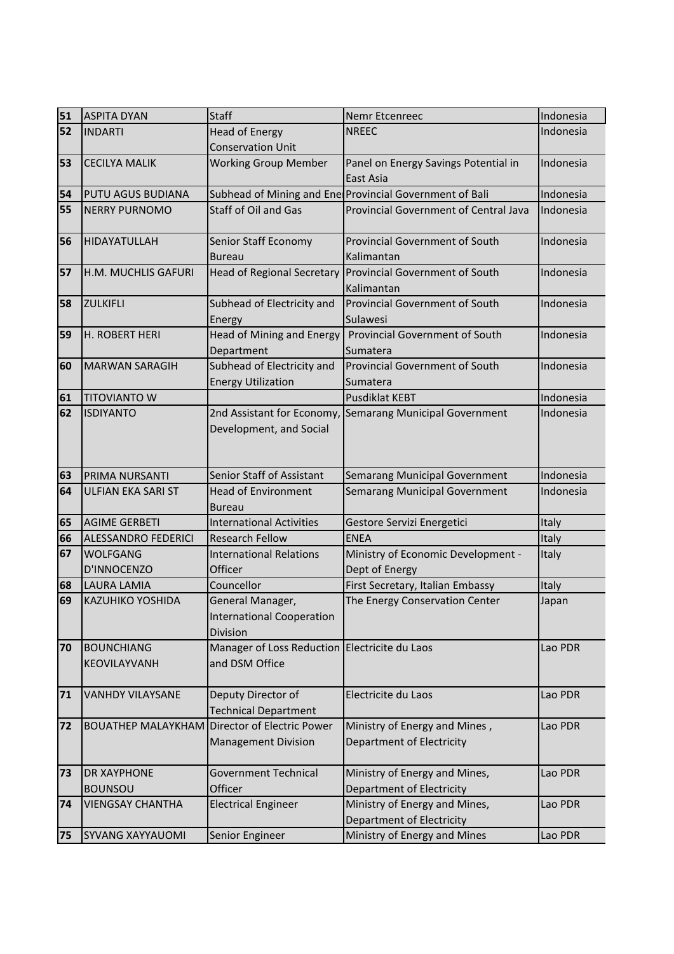| 51 | <b>ASPITA DYAN</b>                | <b>Staff</b>                                                     | Nemr Etcenreec                                             | Indonesia |
|----|-----------------------------------|------------------------------------------------------------------|------------------------------------------------------------|-----------|
| 52 | <b>INDARTI</b>                    | <b>Head of Energy</b>                                            | <b>NREEC</b>                                               | Indonesia |
|    |                                   | <b>Conservation Unit</b>                                         |                                                            |           |
| 53 | <b>CECILYA MALIK</b>              | <b>Working Group Member</b>                                      | Panel on Energy Savings Potential in                       | Indonesia |
|    |                                   |                                                                  | East Asia                                                  |           |
| 54 | PUTU AGUS BUDIANA                 |                                                                  | Subhead of Mining and Ene Provincial Government of Bali    | Indonesia |
| 55 | <b>NERRY PURNOMO</b>              | <b>Staff of Oil and Gas</b>                                      | Provincial Government of Central Java                      | Indonesia |
| 56 | HIDAYATULLAH                      | Senior Staff Economy<br><b>Bureau</b>                            | <b>Provincial Government of South</b><br>Kalimantan        | Indonesia |
| 57 | H.M. MUCHLIS GAFURI               | <b>Head of Regional Secretary</b>                                | Provincial Government of South<br>Kalimantan               | Indonesia |
| 58 | <b>ZULKIFLI</b>                   | Subhead of Electricity and<br>Energy                             | <b>Provincial Government of South</b><br>Sulawesi          | Indonesia |
| 59 | H. ROBERT HERI                    | <b>Head of Mining and Energy</b><br>Department                   | Provincial Government of South<br>Sumatera                 | Indonesia |
| 60 | <b>MARWAN SARAGIH</b>             | Subhead of Electricity and<br><b>Energy Utilization</b>          | Provincial Government of South<br>Sumatera                 | Indonesia |
| 61 | <b>TITOVIANTO W</b>               |                                                                  | <b>Pusdiklat KEBT</b>                                      | Indonesia |
| 62 | <b>ISDIYANTO</b>                  | 2nd Assistant for Economy,<br>Development, and Social            | <b>Semarang Municipal Government</b>                       | Indonesia |
| 63 | <b>PRIMA NURSANTI</b>             | <b>Senior Staff of Assistant</b>                                 | Semarang Municipal Government                              | Indonesia |
| 64 | ULFIAN EKA SARI ST                | <b>Head of Environment</b><br>Bureau                             | <b>Semarang Municipal Government</b>                       | Indonesia |
| 65 | <b>AGIME GERBETI</b>              | <b>International Activities</b>                                  | Gestore Servizi Energetici                                 | Italy     |
| 66 | <b>ALESSANDRO FEDERICI</b>        | <b>Research Fellow</b>                                           | <b>ENEA</b>                                                | Italy     |
| 67 | <b>WOLFGANG</b>                   | <b>International Relations</b>                                   | Ministry of Economic Development -                         | Italy     |
|    | D'INNOCENZO                       | Officer                                                          | Dept of Energy                                             |           |
| 68 | <b>LAURA LAMIA</b>                | Councellor                                                       | First Secretary, Italian Embassy                           | Italy     |
| 69 | <b>KAZUHIKO YOSHIDA</b>           | General Manager,<br><b>International Cooperation</b><br>Division | The Energy Conservation Center                             | Japan     |
| 70 | <b>BOUNCHIANG</b><br>KEOVILAYVANH | Manager of Loss Reduction Electricite du Laos<br>and DSM Office  |                                                            | Lao PDR   |
| 71 | <b>VANHDY VILAYSANE</b>           | Deputy Director of<br><b>Technical Department</b>                | Electricite du Laos                                        | Lao PDR   |
| 72 | <b>BOUATHEP MALAYKHAM</b>         | Director of Electric Power<br><b>Management Division</b>         | Ministry of Energy and Mines,<br>Department of Electricity | Lao PDR   |
| 73 | <b>DR XAYPHONE</b>                | <b>Government Technical</b>                                      | Ministry of Energy and Mines,                              | Lao PDR   |
|    | <b>BOUNSOU</b>                    | Officer                                                          | Department of Electricity                                  |           |
| 74 | <b>VIENGSAY CHANTHA</b>           | <b>Electrical Engineer</b>                                       | Ministry of Energy and Mines,                              | Lao PDR   |
|    |                                   |                                                                  | Department of Electricity                                  |           |
| 75 | <b>SYVANG XAYYAUOMI</b>           | Senior Engineer                                                  | Ministry of Energy and Mines                               | Lao PDR   |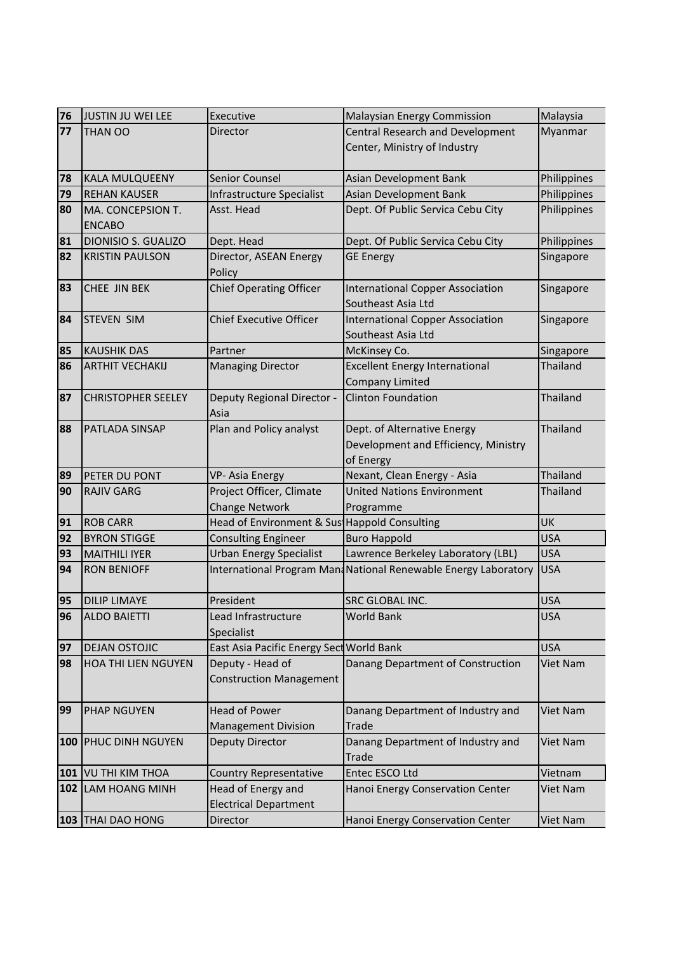| 76         | JUSTIN JU WEI LEE         | Executive                                    | <b>Malaysian Energy Commission</b>                             | Malaysia        |
|------------|---------------------------|----------------------------------------------|----------------------------------------------------------------|-----------------|
| 77         | <b>THAN OO</b>            | Director                                     | Central Research and Development                               | Myanmar         |
|            |                           |                                              | Center, Ministry of Industry                                   |                 |
|            |                           |                                              |                                                                |                 |
| 78         | <b>KALA MULQUEENY</b>     | Senior Counsel                               | Asian Development Bank                                         | Philippines     |
| 79         | <b>REHAN KAUSER</b>       | <b>Infrastructure Specialist</b>             | Asian Development Bank                                         | Philippines     |
| 80         | MA. CONCEPSION T.         | Asst. Head                                   | Dept. Of Public Servica Cebu City                              | Philippines     |
|            | <b>ENCABO</b>             |                                              |                                                                |                 |
| 81         | DIONISIO S. GUALIZO       | Dept. Head                                   | Dept. Of Public Servica Cebu City                              | Philippines     |
| 82         | <b>KRISTIN PAULSON</b>    | Director, ASEAN Energy                       | <b>GE Energy</b>                                               | Singapore       |
|            |                           | Policy                                       |                                                                |                 |
| 83         | CHEE JIN BEK              | <b>Chief Operating Officer</b>               | <b>International Copper Association</b>                        | Singapore       |
|            |                           |                                              | Southeast Asia Ltd                                             |                 |
| 84         | <b>STEVEN SIM</b>         | <b>Chief Executive Officer</b>               | <b>International Copper Association</b>                        | Singapore       |
|            |                           |                                              | Southeast Asia Ltd                                             |                 |
| 85         | <b>KAUSHIK DAS</b>        | Partner                                      | McKinsey Co.                                                   | Singapore       |
| 86         | <b>ARTHIT VECHAKIJ</b>    | <b>Managing Director</b>                     | <b>Excellent Energy International</b>                          | Thailand        |
|            |                           |                                              | <b>Company Limited</b>                                         |                 |
| 87         | <b>CHRISTOPHER SEELEY</b> | Deputy Regional Director -                   | <b>Clinton Foundation</b>                                      | Thailand        |
|            |                           | Asia                                         |                                                                |                 |
| 88         | PATLADA SINSAP            | Plan and Policy analyst                      | Dept. of Alternative Energy                                    | Thailand        |
|            |                           |                                              | Development and Efficiency, Ministry                           |                 |
|            |                           |                                              | of Energy                                                      |                 |
| 89         | PETER DU PONT             | <b>VP-Asia Energy</b>                        | Nexant, Clean Energy - Asia                                    | Thailand        |
| 90         | <b>RAJIV GARG</b>         | Project Officer, Climate                     | <b>United Nations Environment</b>                              | Thailand        |
|            |                           | <b>Change Network</b>                        | Programme                                                      |                 |
| 91         | <b>ROB CARR</b>           | Head of Environment & Sus Happold Consulting |                                                                | <b>UK</b>       |
| 92         | <b>BYRON STIGGE</b>       | <b>Consulting Engineer</b>                   | <b>Buro Happold</b>                                            | <b>USA</b>      |
| 93         | <b>MAITHILI IYER</b>      | <b>Urban Energy Specialist</b>               | Lawrence Berkeley Laboratory (LBL)                             | <b>USA</b>      |
| 94         | <b>RON BENIOFF</b>        |                                              | International Program ManaNational Renewable Energy Laboratory | <b>USA</b>      |
|            |                           |                                              |                                                                |                 |
| 95         | <b>DILIP LIMAYE</b>       | President                                    | SRC GLOBAL INC.                                                | <b>USA</b>      |
| 96         | <b>ALDO BAIETTI</b>       | Lead Infrastructure                          | <b>World Bank</b>                                              | <b>USA</b>      |
|            |                           | Specialist                                   |                                                                |                 |
| 97         | <b>DEJAN OSTOJIC</b>      | East Asia Pacific Energy Sect World Bank     |                                                                | <b>USA</b>      |
| 98         | HOA THI LIEN NGUYEN       | Deputy - Head of                             | Danang Department of Construction                              | Viet Nam        |
|            |                           | <b>Construction Management</b>               |                                                                |                 |
|            |                           |                                              |                                                                |                 |
| 99         | <b>PHAP NGUYEN</b>        | <b>Head of Power</b>                         | Danang Department of Industry and                              | Viet Nam        |
|            |                           | <b>Management Division</b>                   | Trade                                                          |                 |
| <b>100</b> | <b>PHUC DINH NGUYEN</b>   | Deputy Director                              | Danang Department of Industry and                              | <b>Viet Nam</b> |
|            |                           |                                              | Trade                                                          |                 |
|            | 101 VU THI KIM THOA       | <b>Country Representative</b>                | Entec ESCO Ltd                                                 | Vietnam         |
|            | 102 LAM HOANG MINH        | Head of Energy and                           | Hanoi Energy Conservation Center                               | Viet Nam        |
|            |                           | <b>Electrical Department</b>                 |                                                                |                 |
|            | 103 THAI DAO HONG         | Director                                     | Hanoi Energy Conservation Center                               | Viet Nam        |